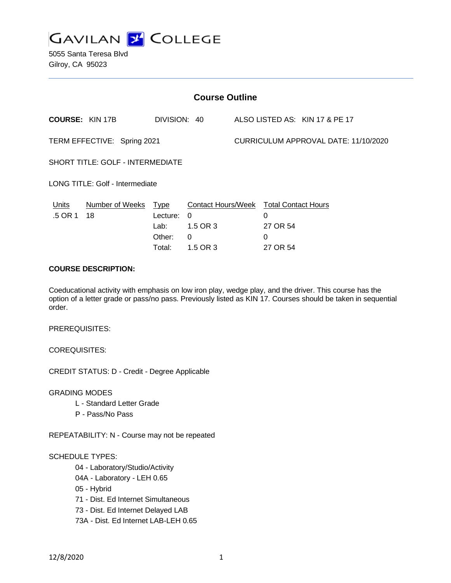

5055 Santa Teresa Blvd Gilroy, CA 95023

| <b>Course Outline</b>                   |                            |                                      |                                                                                          |  |                                      |                                |  |
|-----------------------------------------|----------------------------|--------------------------------------|------------------------------------------------------------------------------------------|--|--------------------------------------|--------------------------------|--|
|                                         | <b>COURSE: KIN 17B</b>     | DIVISION: 40                         |                                                                                          |  |                                      | ALSO LISTED AS: KIN 17 & PE 17 |  |
| TERM EFFECTIVE: Spring 2021             |                            |                                      |                                                                                          |  | CURRICULUM APPROVAL DATE: 11/10/2020 |                                |  |
| <b>SHORT TITLE: GOLF - INTERMEDIATE</b> |                            |                                      |                                                                                          |  |                                      |                                |  |
| LONG TITLE: Golf - Intermediate         |                            |                                      |                                                                                          |  |                                      |                                |  |
| Units<br>.5 OR 1                        | Number of Weeks Type<br>18 | Lecture:<br>Lab:<br>Other:<br>Total: | Contact Hours/Week Total Contact Hours<br>$\Omega$<br>$1.5$ OR 3<br>$\Omega$<br>1.5 OR 3 |  | 0<br>27 OR 54<br>0<br>27 OR 54       |                                |  |
|                                         |                            |                                      |                                                                                          |  |                                      |                                |  |

# **COURSE DESCRIPTION:**

Coeducational activity with emphasis on low iron play, wedge play, and the driver. This course has the option of a letter grade or pass/no pass. Previously listed as KIN 17. Courses should be taken in sequential order.

PREREQUISITES:

COREQUISITES:

CREDIT STATUS: D - Credit - Degree Applicable

GRADING MODES

- L Standard Letter Grade
- P Pass/No Pass

REPEATABILITY: N - Course may not be repeated

#### SCHEDULE TYPES:

04 - Laboratory/Studio/Activity

- 04A Laboratory LEH 0.65
- 05 Hybrid
- 71 Dist. Ed Internet Simultaneous
- 73 Dist. Ed Internet Delayed LAB
- 73A Dist. Ed Internet LAB-LEH 0.65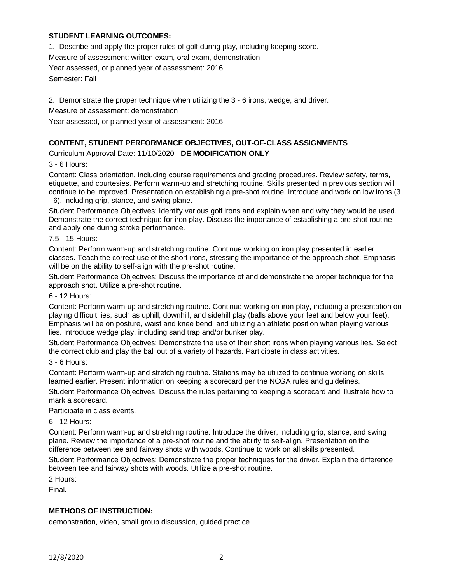# **STUDENT LEARNING OUTCOMES:**

1. Describe and apply the proper rules of golf during play, including keeping score.

Measure of assessment: written exam, oral exam, demonstration

Year assessed, or planned year of assessment: 2016

Semester: Fall

2. Demonstrate the proper technique when utilizing the 3 - 6 irons, wedge, and driver.

Measure of assessment: demonstration

Year assessed, or planned year of assessment: 2016

#### **CONTENT, STUDENT PERFORMANCE OBJECTIVES, OUT-OF-CLASS ASSIGNMENTS**

Curriculum Approval Date: 11/10/2020 - **DE MODIFICATION ONLY**

3 - 6 Hours:

Content: Class orientation, including course requirements and grading procedures. Review safety, terms, etiquette, and courtesies. Perform warm-up and stretching routine. Skills presented in previous section will continue to be improved. Presentation on establishing a pre-shot routine. Introduce and work on low irons (3 - 6), including grip, stance, and swing plane.

Student Performance Objectives: Identify various golf irons and explain when and why they would be used. Demonstrate the correct technique for iron play. Discuss the importance of establishing a pre-shot routine and apply one during stroke performance.

7.5 - 15 Hours:

Content: Perform warm-up and stretching routine. Continue working on iron play presented in earlier classes. Teach the correct use of the short irons, stressing the importance of the approach shot. Emphasis will be on the ability to self-align with the pre-shot routine.

Student Performance Objectives: Discuss the importance of and demonstrate the proper technique for the approach shot. Utilize a pre-shot routine.

6 - 12 Hours:

Content: Perform warm-up and stretching routine. Continue working on iron play, including a presentation on playing difficult lies, such as uphill, downhill, and sidehill play (balls above your feet and below your feet). Emphasis will be on posture, waist and knee bend, and utilizing an athletic position when playing various lies. Introduce wedge play, including sand trap and/or bunker play.

Student Performance Objectives: Demonstrate the use of their short irons when playing various lies. Select the correct club and play the ball out of a variety of hazards. Participate in class activities.

3 - 6 Hours:

Content: Perform warm-up and stretching routine. Stations may be utilized to continue working on skills learned earlier. Present information on keeping a scorecard per the NCGA rules and guidelines.

Student Performance Objectives: Discuss the rules pertaining to keeping a scorecard and illustrate how to mark a scorecard.

Participate in class events.

6 - 12 Hours:

Content: Perform warm-up and stretching routine. Introduce the driver, including grip, stance, and swing plane. Review the importance of a pre-shot routine and the ability to self-align. Presentation on the difference between tee and fairway shots with woods. Continue to work on all skills presented.

Student Performance Objectives: Demonstrate the proper techniques for the driver. Explain the difference between tee and fairway shots with woods. Utilize a pre-shot routine.

2 Hours:

Final.

#### **METHODS OF INSTRUCTION:**

demonstration, video, small group discussion, guided practice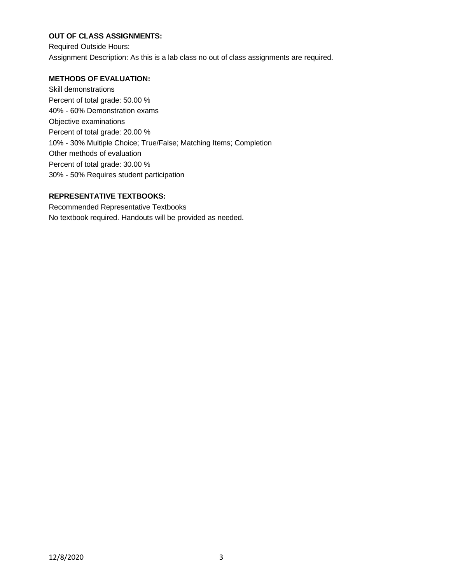# **OUT OF CLASS ASSIGNMENTS:**

Required Outside Hours: Assignment Description: As this is a lab class no out of class assignments are required.

# **METHODS OF EVALUATION:**

Skill demonstrations Percent of total grade: 50.00 % 40% - 60% Demonstration exams Objective examinations Percent of total grade: 20.00 % 10% - 30% Multiple Choice; True/False; Matching Items; Completion Other methods of evaluation Percent of total grade: 30.00 % 30% - 50% Requires student participation

# **REPRESENTATIVE TEXTBOOKS:**

Recommended Representative Textbooks No textbook required. Handouts will be provided as needed.